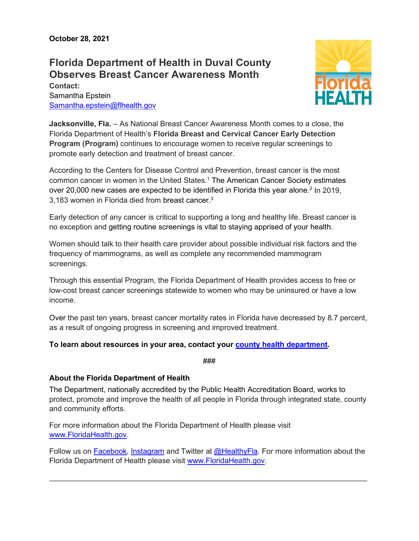## **Florida Department of Health in Duval County Observes Breast Cancer Awareness Month**

**Contact:** Samantha Epstein [Samantha.epstein@flhealth.gov](mailto:Samantha.epstein@flhealth.gov)



**Jacksonville, Fla.** – As National Breast Cancer Awareness Month comes to a close, the Florida Department of Health's **Florida Breast and Cervical Cancer Early Detection Program (Program)** continues to encourage women to receive regular screenings to promote early detection and treatment of breast cancer.

According to the Centers for Disease Control and Prevention, breast cancer is the most common cancer in women in the United States. <sup>1</sup> The American Cancer Society estimates over 20,000 new cases are expected to be identified in Florida this year alone. <sup>2</sup> In 2019, 3,183 women in Florida died from breast cancer. $^{\rm 3}$ 

Early detection of any cancer is critical to supporting a long and healthy life. Breast cancer is no exception and getting routine screenings is vital to staying apprised of your health.

Women should talk to their health care provider about possible individual risk factors and the frequency of mammograms, as well as complete any recommended mammogram screenings.

Through this essential Program, the Florida Department of Health provides access to free or low-cost breast cancer screenings statewide to women who may be uninsured or have a low income.

Over the past ten years, breast cancer mortality rates in Florida have decreased by 8.7 percent, as a result of ongoing progress in screening and improved treatment.

## **To learn about resources in your area, contact your [county health department.](http://www.floridahealth.gov/all-county-locations.html)**

###

## **About the Florida Department of Health**

The Department, nationally accredited by the [Public Health Accreditation Board,](http://www.phaboard.org/) works to protect, promote and improve the health of all people in Florida through integrated state, county and community efforts.

For more information about the Florida Department of Health please visit [www.FloridaHealth.gov.](http://www.floridahealth.gov/?utm_source=article)

Follow us on [Facebook,](https://www.facebook.com/FLDepartmentofHealth?utm_source=article) [Instagram](https://www.instagram.com/florida.health/) and Twitter at [@HealthyFla.](https://twitter.com/HealthyFla?utm_source=article) For more information about the Florida Department of Health please visit [www.FloridaHealth.gov.](http://www.floridahealth.gov/?utm_source=article)

 $\_$  ,  $\_$  ,  $\_$  ,  $\_$  ,  $\_$  ,  $\_$  ,  $\_$  ,  $\_$  ,  $\_$  ,  $\_$  ,  $\_$  ,  $\_$  ,  $\_$  ,  $\_$  ,  $\_$  ,  $\_$  ,  $\_$  ,  $\_$  ,  $\_$  ,  $\_$  ,  $\_$  ,  $\_$  ,  $\_$  ,  $\_$  ,  $\_$  ,  $\_$  ,  $\_$  ,  $\_$  ,  $\_$  ,  $\_$  ,  $\_$  ,  $\_$  ,  $\_$  ,  $\_$  ,  $\_$  ,  $\_$  ,  $\_$  ,